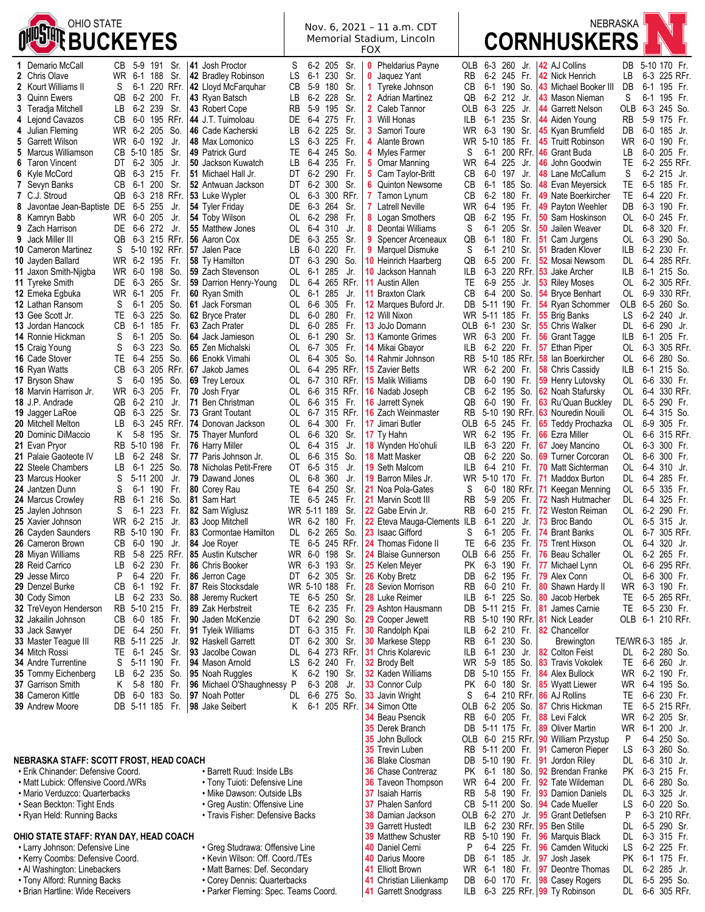Nov. 6, 2021 – 11 a.m. CDT Memorial Stadium, Lincoln FOX



Garrett Hustedt ILB 6-2 230 RFr. **95** Ben Stille DL 6-5 290 Sr.

| 1 Demario McCall                        | CВ        | 5-9      | 191             | Sr.           | 41 Josh Proctor                   | S   |         | 6-2 205 Sr.     |                 |              | <b>Pheldarius Payne</b>      | OLB             |                 | 6-3 260     | Jr.      | 42 AJ Collins                               | DB                |         | 5-10 170 Fr.   |  |
|-----------------------------------------|-----------|----------|-----------------|---------------|-----------------------------------|-----|---------|-----------------|-----------------|--------------|------------------------------|-----------------|-----------------|-------------|----------|---------------------------------------------|-------------------|---------|----------------|--|
| 2 Chris Olave                           |           | WR 6-1   | 188             | Sr.           | 42 Bradley Robinson               | LS  | $6 - 1$ | 230             | Sr.             | 0            | Jaquez Yant                  | RB              |                 | 6-2 245 Fr. |          | 42 Nick Henrich                             | LВ                |         | 6-3 225 RFr.   |  |
| 2 Kourt Williams II                     | S         | 6-1      |                 | 220 RFr.      | 42 Lloyd McFarquhar               | CB  | 5-9     | 180             | Sr.             | 1.           | Tyreke Johnson               | CB              | 6-1             | 190 So.     |          | 43 Michael Booker III                       | DB                | $6 - 1$ | 195 Fr.        |  |
| 3 Quinn Ewers                           | QB        |          | 6-2 200         | Fr.           | 43 Ryan Batsch                    | LВ  |         | 6-2 228         | Sr.             |              | <b>2</b> Adrian Martinez     | QB              |                 | 6-2 212 Jr. |          | 43 Mason Nieman                             | S                 |         | 6-1 195 Fr.    |  |
| 3 Teradja Mitchell                      | LB        | 6-2      | 239             | Sr.           | 43 Robert Cope                    | RB  | $5-9$   | 195             | Sr.             |              | 2 Caleb Tannor               | OLB             | 6-3             | 225 Jr.     |          | 44 Garrett Nelson                           | OLB               |         | 6-3 245 So.    |  |
| 4 Lejond Cavazos                        | CB.       |          |                 | 6-0 195 RFr.  | 44 J.T. Tuimoloau                 |     |         | DE 6-4 275      | Fr.             |              | 3 Will Honas                 | ILB             |                 | 6-1 235 Sr. |          | 44 Aiden Young                              | RB                |         | 5-9 175 Fr.    |  |
| 4 Julian Fleming                        | WR.       |          | 6-2 205         | So.           | 46 Cade Kacherski                 | LВ  |         | 6-2 225         | Sr.             |              | <b>3</b> Samori Toure        | WR              | 6-3             | 190 Sr.     |          | 45 Kyan Brumfield                           | DB                | 6-0     | 185 Jr.        |  |
| 5 Garrett Wilson                        | WR.       | 6-0 192  |                 | Jr.           | 48 Max Lomonico                   | LS  |         | 6-3 225         | Fr.             |              | 4 Alante Brown               | WR.             | 5-10 185 Fr.    |             |          | 45 Truitt Robinson                          | WR.               | 6-0     | 190 Fr.        |  |
| 5 Marcus Williamson                     | CB        | 5-10 185 |                 | Sr.           | 49 Patrick Gurd                   | TE. |         | 6-4 245         | So.             |              | 4 Myles Farmer               | S               | $6 - 1$         |             | 200 RFr. | 46 Grant Buda                               | LВ                |         | 6-0 205 Fr.    |  |
| 6 Taron Vincent                         | DT        | $6-2$    | 305             | Jr.           | 50 Jackson Kuwatch                | LВ  | $6-4$   | 235             | Fr.             |              | 5 Omar Manning               | <b>WR</b>       | $6-4$           | 225         | Jr.      | 46 John Goodwin                             | TE                |         | 6-2 255 RFr.   |  |
| 6 Kyle McCord                           | QB        |          | 6-3 215         | -Fr.          | 51 Michael Hall Jr.               |     |         | DT 6-2 290      | Fr.             |              | 5 Cam Taylor-Britt           | CВ              | 6-0             | 197         | Jr.      | 48 Lane McCallum                            | S                 |         | 6-2 215 Jr.    |  |
| 7 Sevyn Banks                           | CВ        | 6-1      | 200             | Sr.           | 52 Antwuan Jackson                | DT  | 6-2     | 300             | Sr.             | 6.           | Quinton Newsome              | CB              | $6 - 1$         | 185 So.     |          | 48 Evan Meyersick                           | TE                | $6-5$   | 185 Fr.        |  |
| 7 C.J. Stroud                           | QB        |          |                 | 6-3 218 RFr.  | 53 Luke Wypler                    |     |         |                 | OL 6-3 300 RFr. | $\mathbf{7}$ | Tamon Lynum                  | CB              | 6-2             | 180 Fr.     |          | 49 Nate Boerkircher                         | TE.               |         | 6-4 220 Fr.    |  |
| 8 Javontae Jean-Baptiste DE             |           | 6-5 255  |                 | Jr.           | 54 Tyler Friday                   | DE  |         | 6-3 264         | Sr.             |              | <b>7</b> Latrell Neville     | WR              | 6-4             | 195 Fr.     |          | 49 Payton Weehler                           | DB                | 6-3     | 190 Fr.        |  |
| 8 Kamryn Babb                           | WR.       | 6-0 205  |                 | Jr.           | 54 Toby Wilson                    | OL  |         | 6-2 298         | Fr.             |              | 8 Logan Smothers             | QB              | 6-2             | 195 Fr.     |          | 50 Sam Hoskinson                            | OL                |         | 6-0 245 Fr.    |  |
| 9 Zach Harrison                         | DE        | 6-6      | 272             | Jr.           | 55 Matthew Jones                  | OL  |         | 6-4 310         | Jr.             |              | 8 Deontai Williams           | S               | $6-1$           | 205 Sr.     |          | <b>50 Jailen Weaver</b>                     | DL                |         | 6-8 320 Fr.    |  |
| 9 Jack Miller III                       | QB        |          |                 | 6-3 215 RFr.  | 56 Aaron Cox                      | DE  | 6-3     | 255             | Sr.             | 9.           | Spencer Arceneaux            | QB              | $6-1$           | 180         | Fr.      | 51 Cam Jurgens                              | OL                | 6-3     | 290 So.        |  |
| <b>10 Cameron Martinez</b>              | S         |          |                 | 5-10 192 RFr. | 57 Jalen Pace                     | LВ  |         | 6-0 220         | Fr.             |              | 9 Marquel Dismuke            | S               | 6-1             | 210         | Sr.      | 51 Braden Klover                            | ILB               |         | 6-2 230 Fr.    |  |
| 10 Jayden Ballard                       | WR.       | 6-2      | 195             | Fr.           | 58 Ty Hamilton                    | DT  | 6-3     | 290             | So.             |              | 10 Heinrich Haarberg         | QB              | 6-5             | 200         | Fr.      | 52 Mosai Newsom                             | DL                | $6-4$   | 285 RFr.       |  |
| 11 Jaxon Smith-Njigba                   |           |          | WR 6-0 198 So.  |               | 59 Zach Stevenson                 |     | OL 6-1  | 285             | Jr.             |              | 10 Jackson Hannah            | ILB             |                 |             |          | 6-3 220 RFr. 53 Jake Archer                 | ILB               | 6-1     | 215 So.        |  |
| 11 Tyreke Smith                         | DE        | 6-3      | 265             | Sr.           | 59 Darrion Henry-Young            | DL  | 6-4     | 265 RFr.        |                 |              | <b>11</b> Austin Allen       | TE              | 6-9             | 255 Jr.     |          | 53 Riley Moses                              | OL                |         | 6-2 305 RFr.   |  |
| 12 Emeka Eqbuka                         | WR.       | 6-1      | 205             | Fr.           | 60 Ryan Smith                     | OL  | 6-1     | 285             | Jr.             |              | <b>11 Braxton Clark</b>      | CВ              |                 | 6-4 200 So. |          | 54 Bryce Benhart                            | OL.               |         | 6-9 330 RFr.   |  |
| 12 Lathan Ransom                        | S         | 6-1      | 205             | So.           | 61 Jack Forsman                   | OL  |         | 6-6 305         | Fr.             |              | <b>12</b> Marques Buford Jr. | DB              | 5-11 190 Fr.    |             |          | 54 Ryan Schommer                            | OLB               |         | 6-5 260 So.    |  |
| 13 Gee Scott Jr.                        | TE        |          | 6-3 225         | So.           | 62 Brvce Prater                   | DL. | 6-0     | 280             | Fr.             |              | 12 Will Nixon                | WR              | 5-11 185 Fr.    |             |          | 55 Brig Banks                               | LS                | 6-2     | 240 Jr.        |  |
| 13 Jordan Hancock                       | CВ        |          | 6-1 185         | Fr.           | 63 Zach Prater                    | DL  |         | 6-0 285         | Fr.             |              | 13 JoJo Domann               | OLB             | 6-1             | 230 Sr.     |          | 55 Chris Walker                             | DL.               | 6-6     | 290 Jr.        |  |
| 14 Ronnie Hickman                       | S         | 6-1      | 205             | So.           | 64 Jack Jamieson                  | OL  | 6-1     | 290             | Sr.             |              | 13 Kamonte Grimes            | WR              | 6-3             | 200 Fr.     |          | 56 Grant Tagge                              | ILВ               | $6-1$   | 205 Fr.        |  |
| 15 Craig Young                          | S         |          | 6-3 223 So.     |               | 65 Zen Michalski                  |     |         | OL 6-7 305 Fr.  |                 |              | 14 Mikai Gbayor              | ILB             |                 | 6-2 220 Fr. |          | 57 Ethan Piper                              | OL                |         | 6-3 305 RFr.   |  |
| <b>16 Cade Stover</b>                   | TE        | 6-4      | 255             | So.           | 66 Enokk Vimahi                   | OL  | 6-4     | 305 So.         |                 |              | 14 Rahmir Johnson            | RB              |                 |             |          | 5-10 185 RFr. 58 Ian Boerkircher            | OL                |         | 6-6 280 So.    |  |
| 16 Ryan Watts                           | CВ        |          |                 | 6-3 205 RFr.  | 67 Jakob James                    | OL  | 6-4     |                 | 295 RFr.        |              | <b>15 Zavier Betts</b>       | WR              |                 | 6-2 200 Fr. |          | 58 Chris Cassidy                            | <b>ILB</b>        | 6-1     | 215 So.        |  |
| 17 Bryson Shaw                          | S         | 6-0      | 195             | So.           | 69 Trey Leroux                    | OL  |         | 6-7 310 RFr.    |                 |              | 15 Malik Williams            | DB              | 6-0             | 190 Fr.     |          | 59 Henry Lutovsky                           | OL                | 6-6     | 330 Fr.        |  |
| <b>18</b> Marvin Harrison Jr.           | WR        | 6-3      | 205             | Fr.           | 70 Josh Fryar                     | OL  |         |                 | 6-6 315 RFr.    |              | <b>16</b> Nadab Joseph       | CB              | 6-2             | 195 So.     |          | <b>62</b> Noah Stafursky                    | OL                | $6-4$   | 330 RFr.       |  |
| 18 J.P. Andrade                         | QB        | 6-2      | 210             | Jr.           | 71 Ben Christman                  | OL  |         | 6-6 315 Fr.     |                 |              | <b>16</b> Jarrett Synek      | QB              | 6-0             | 190 Fr.     |          | 63 Ru'Quan Buckley                          | DL                |         | 6-5 290 Fr.    |  |
| 19 Jagger LaRoe                         | QB        | 6-3      | 225             | Sr.           | 73 Grant Toutant                  |     | OL 6-7  |                 | 315 RFr.        |              | <b>16 Zach Weinmaster</b>    | RB              | $5-10$          |             |          | 190 RFr. 63 Nouredin Nouili                 | OL.               | $6-4$   | 315 So.        |  |
| 20 Mitchell Melton                      | LB        |          |                 | 6-3 245 RFr.  | 74 Donovan Jackson                |     |         | OL 6-4 300 Fr.  |                 |              | 17 Jimari Butler             | OLB             |                 | 6-5 245 Fr. |          | 65 Teddy Prochazka                          | 0L                |         | 6-9 305 Fr.    |  |
| 20 Dominic DiMaccio                     | Κ         | 5-8      | 195             | Sr.           | 75 Thayer Munford                 | OL  |         | 6-6 320         | Sr.             |              | 17 Ty Hahn                   | WR              | 6-2             | 195 Fr.     |          | 66 Ezra Miller                              | OL                | 6-6     | 315 RFr.       |  |
| 21 Evan Pryor                           | RB        | 5-10 198 |                 | Fr.           | 76 Harry Miller                   | OL  |         | 6-4 315         | Jr.             |              | 18 Wynden Ho'ohuli           | ILB             |                 | 6-3 220 Fr. |          | 67 Joey Mancino                             | OL                |         | 6-3 300 Fr.    |  |
| 21 Palaie Gaoteote IV                   | LB        |          | 6-2 248         | Sr.           | 77 Paris Johnson Jr.              |     |         | OL 6-6 315      | So.             |              | <b>18 Matt Masker</b>        | QB              |                 | 6-2 220 So. |          | 69 Turner Corcoran                          | OL                |         | 6-6 300 Fr.    |  |
| 22 Steele Chambers                      | LB        | 6-1      | 225             | So.           | 78 Nicholas Petit-Frere           | OT  |         | 6-5 315         | Jr.             |              | 19 Seth Malcom               | ILB             | 6-4             | 210 Fr.     |          | 70 Matt Sichterman                          | OL                | $6-4$   | 310 Jr.        |  |
| 23 Marcus Hooker                        | S         | 5-11 200 |                 | Jr.           | 79 Dawand Jones                   | OL  | 6-8     | 360             | Jr.             |              | 19 Barron Miles Jr.          | WR              | 5-10 170 Fr.    |             |          | 71 Maddox Burton                            | DL                | 6-4     | 285 Fr.        |  |
| 24 Jantzen Dunn                         | S         | 6-1      | 190             | Fr.           | 80 Corey Rau                      | TE. | 6-4     | 250             | Sr.             |              | 21 Noa Pola-Gates            | S               | 6-0             |             |          | 180 RFr. 71 Keegan Menning                  | OL                | $6-5$   | 335 Fr.        |  |
| 24 Marcus Crowley                       | <b>RB</b> |          | 6-1 216         | So.           | 81 Sam Hart                       | TE. |         | 6-5 245 Fr.     |                 |              | 21 Marvin Scott III          | RB              |                 | 5-9 205 Fr. |          | 72 Nash Hutmacher                           | DL                | 6-4     | 325 Fr.        |  |
| 25 Jaylen Johnson                       | S         | 6-1      | 223             | Fr.           | 82 Sam Wiglusz                    |     |         | WR 5-11 189     | Sr.             |              | 22 Gabe Ervin Jr.            | RB              | 6-0             | 215 Fr.     |          | <b>72 Weston Reiman</b>                     | OL.               |         | 6-2 290 Fr.    |  |
| 25 Xavier Johnson                       | WR        | 6-2 215  |                 | Jr.           | 83 Joop Mitchell                  |     |         | WR 6-2 180      | Fr.             |              | 22 Eteva Mauga-Clements      | ILB             | 6-1             | 220         | Jr.      | 73 Broc Bando                               | OL                |         | 6-5 315 Jr.    |  |
| 26 Cayden Saunders                      | <b>RB</b> | 5-10 190 |                 | Fr.           | 83 Cormontae Hamilton             | DL  |         | 6-2 265         | So.             |              | 23 Isaac Gifford             | S               | $6-1$           | 205         | Fr.      | 74 Brant Banks                              | OL                |         | 6-7 305 RFr.   |  |
| 26 Cameron Brown                        | CВ        | 6-0      | 190             | Jr.           | 84 Joe Royer                      | TE. | 6-5     |                 | 245 RFr.        |              | 24 Thomas Fidone II          | <b>TE</b>       | 6-6             | 235 Fr.     |          | 75 Trent Hixson                             | OL                | 6-4     | 320 Jr.        |  |
| 28 Miyan Williams                       | RB        |          |                 | 5-8 225 RFr.  | 85 Austin Kutscher                |     |         | WR 6-0 198      | Sr.             |              | 24 Blaise Gunnerson          | OLB             | 6-6             | 255         | -Fr.     | 76 Beau Schaller                            | OL                |         | 6-2 265 Fr.    |  |
| 28 Reid Carrico                         | LB        |          | 6-2 230         | Fr.           | 86 Chris Booker                   |     |         | WR 6-3 193      | Sr.             |              | 25 Kelen Meyer               | <b>PK</b>       | $6-3$           | 190         | Fr.      | 77 Michael Lynn                             | OL                |         | 6-6 295 RFr.   |  |
| 29 Jesse Mirco                          | P         |          | 6-4 220 Fr.     |               | 86 Jerron Cage                    |     |         | DT 6-2 305 Sr.  |                 |              | 26 Koby Bretz                | DB              |                 | 6-2 195 Fr. |          | <b>79 Alex Conn</b>                         | OL                |         | 6-6 300 Fr.    |  |
| 29 Denzel Burke                         | CB        |          | 6-1 192 Fr.     |               | 87 Reis Stocksdale                |     |         | WR 5-10 188 Fr. |                 |              | 28 Sevion Morrison           | RB.             |                 | 6-0 210 Fr. |          | 80 Shawn Hardy II                           | WR 6-3 190 Fr.    |         |                |  |
| 30 Cody Simon                           | LB.       |          | 6-2 233 So.     |               | 88 Jeremy Ruckert                 |     |         | TE 6-5 250 Sr.  |                 |              | 28 Luke Reimer               | ILB.            |                 | 6-1 225 So. |          | 80 Jacob Herbek                             | TE.               |         | 6-5 265 RFr.   |  |
| 32 TreVeyon Henderson                   |           |          | RB 5-10 215 Fr. |               | 89 Zak Herbstreit                 |     |         | TE 6-2 235 Fr.  |                 |              | 29 Ashton Hausmann           | DB              | 5-11 215 Fr.    |             |          | 81 James Carnie                             | TE.               |         | 6-5 230 Fr.    |  |
| 32 Jakailin Johnson                     | CB        |          | 6-0 185 Fr.     |               | 90 Jaden McKenzie                 |     |         | DT 6-2 290 So.  |                 |              | 29 Cooper Jewett             | RB.             |                 |             |          | 5-10 190 RFr. 81 Nick Leader                | OLB 6-1 210 RFr.  |         |                |  |
| 33 Jack Sawyer                          |           |          | DE 6-4 250 Fr.  |               | 91 Tyleik Williams                |     |         | DT 6-3 315 Fr.  |                 |              | <b>30 Randolph Kpai</b>      | ILB             |                 | 6-2 210 Fr. |          | 82 Chancellor                               |                   |         |                |  |
| 33 Master Teague III                    |           |          | RB 5-11 225     | Jr.           | 92 Haskell Garrett                |     |         | DT 6-2 300 Sr.  |                 |              | 30 Markese Stepp             | RB.             |                 | 6-1 230 So. |          | Brewington                                  | TE/WR 6-3 185 Jr. |         |                |  |
| 34 Mitch Rossi                          |           |          | TE 6-1 245 Sr.  |               | 93 Jacolbe Cowan                  |     |         |                 | DL 6-4 273 RFr. |              | <b>31 Chris Kolarevic</b>    | ILB.            | 6-1 230 Jr.     |             |          | 82 Colton Feist                             |                   |         | DL 6-2 280 So. |  |
| <b>34 Andre Turrentine</b>              | S.        |          | 5-11 190 Fr.    |               | 94 Mason Arnold                   | LS. |         | 6-2 240 Fr.     |                 |              | 32 Brody Belt                | WR.             |                 | 5-9 185 So. |          | 83 Travis Vokolek                           |                   |         | TE 6-6 260 Jr. |  |
| 35 Tommy Eichenberg                     | LB.       |          | 6-2 235 So.     |               | 95 Noah Ruggles                   | K.  |         | 6-2 190 Sr.     |                 |              | <b>32 Kaden Williams</b>     | DB              | 5-10 155 Fr.    |             |          | <b>84 Alex Bullock</b>                      | WR 6-2 190 Fr.    |         |                |  |
| <b>37 Garrison Smith</b>                | K.        |          | 5-8 180 Fr.     |               | 96 Michael O'Shaughnessy P        |     |         | 6-3 208 Jr.     |                 |              | 33 Connor Culp               | PК              |                 | 6-0 180 Sr. |          | <b>85 Wyatt Liewer</b>                      | WR 6-4 195 So.    |         |                |  |
| 38 Cameron Kittle                       | DB        |          |                 |               | 6-0 183 So.   97 Noah Potter      |     |         | DL 6-6 275 So.  |                 |              | 33 Javin Wright              | S               |                 |             |          | 6-4 210 RFr. 86 AJ Rollins                  | TE.               |         | 6-6 230 Fr.    |  |
| 39 Andrew Moore                         |           |          |                 |               | DB 5-11 185 Fr.   98 Jake Seibert | K   |         |                 | 6-1 205 RFr.    |              | 34 Simon Otte                | OLB 6-2 205 So. |                 |             |          | 87 Chris Hickman                            | TE.               |         | 6-5 215 RFr.   |  |
|                                         |           |          |                 |               |                                   |     |         |                 |                 |              | 34 Beau Psencik              | <b>RB</b>       |                 | 6-0 205 Fr. |          | 88 Levi Falck                               | WR 6-2 205 Sr.    |         |                |  |
|                                         |           |          |                 |               |                                   |     |         |                 |                 |              | <b>35 Derek Branch</b>       |                 | DB 5-11 175 Fr. |             |          | <b>89 Oliver Martin</b>                     | WR 6-1 200 Jr.    |         |                |  |
|                                         |           |          |                 |               |                                   |     |         |                 |                 |              | 35 John Bullock              |                 |                 |             |          | OLB 6-0 215 RFr. 90 William Przystup        | P                 |         | 6-4 250 So.    |  |
|                                         |           |          |                 |               |                                   |     |         |                 |                 |              | 35 Trevin Luben              |                 |                 |             |          | RB 5-11 200 Fr.   91 Cameron Pieper         | LS.               |         | 6-3 260 So.    |  |
| NEBRASKA STAFF: SCOTT FROST, HEAD COACH |           |          |                 |               |                                   |     |         |                 |                 |              | 36 Blake Closman             |                 |                 |             |          | DB 5-10 190 Fr 91 Jordon Riley              | DL                |         | 6-6 310 Jr.    |  |
| • Erik Chinander: Defensive Coord.      |           |          |                 |               | • Barrett Ruud: Inside LBs        |     |         |                 |                 |              | 36 Chase Contreraz           |                 |                 |             |          | PK 6-1 180 So. $ 92 \text{ Brendan}$ Franke |                   |         | PK 6-3 215 Fr. |  |

- Matt Lubick: Offensive Coord./WRs Tony Tuioti: Defensive Line **36** Taveon Thompson WR 6-4 200 Fr. **92** Tate Wildeman DL 6-6 280 So.
- 
- 
- 
- **OHIO STATE STAFF: RYAN DAY, HEAD COACH 39** Matthew Schuster RB 5-10 190 Fr. **96** Marquis Black DL 6-3 315 Fr. 96 Marquis Black DL 6-3 315 Fr. 96 Marquis Black DL 6-3 315 Fr. 964 225 Fr. 96 Marquis Black DL 6-2
- 
- 
- 
- 
- 
- 
- Mario Verduzco: Quarterbacks Mike Dawson: Outside LBs **37** Isaiah Harris RB 5-8 190 Fr. **93** Damion Daniels DL 6-3 325 Jr.
- Sean Beckton: Tight Ends Greg Austin: Offensive Line **37** Phalen Sanford CB 5-11 200 So. **94** Cade Mueller LS 6-0 220 So. • Travis Fisher: Defensive Backs

- - -
- Tony Alford: Running Backs Corey Dennis: Quarterbacks **41** Christian Lilienkamp DB 6-0 170 Fr. **98** Casey Rogers DL 6-5 295 So.
	- Parker Fleming: Spec. Teams Coord.

• Larry Johnson: Defensive Line • Greg Studrawa: Offensive Line **40** Daniel Cerni P 6-4 225 Fr. **96** Camden Witucki LS 6-2 225 Fr. • Kerry Coombs: Defensive Coord. • Kevin Wilson: Off. Coord./TEs **40** Darius Moore DB 6-1 185 Jr. **97** Josh Jasek PK 6-1 175 Fr. • Matt Barnes: Def. Secondary